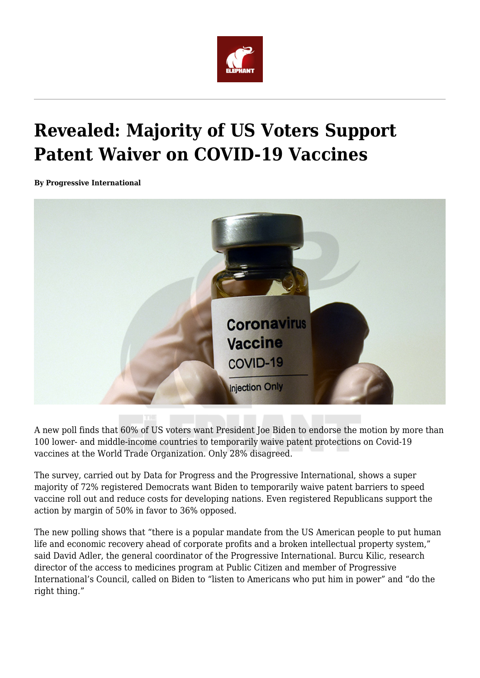

## **Revealed: Majority of US Voters Support Patent Waiver on COVID-19 Vaccines**

**By Progressive International**



A new poll finds that 60% of US voters want President Joe Biden to endorse the motion by more than 100 lower- and middle-income countries to temporarily waive patent protections on Covid-19 vaccines at the World Trade Organization. Only 28% disagreed.

The survey, carried out by Data for Progress and the Progressive International, shows a super majority of 72% registered Democrats want Biden to temporarily waive patent barriers to speed vaccine roll out and reduce costs for developing nations. Even registered Republicans support the action by margin of 50% in favor to 36% opposed.

The new polling shows that "there is a popular mandate from the US American people to put human life and economic recovery ahead of corporate profits and a broken intellectual property system," said David Adler, the general coordinator of the Progressive International. Burcu Kilic, research director of the access to medicines program at Public Citizen and member of Progressive International's Council, called on Biden to "listen to Americans who put him in power" and "do the right thing."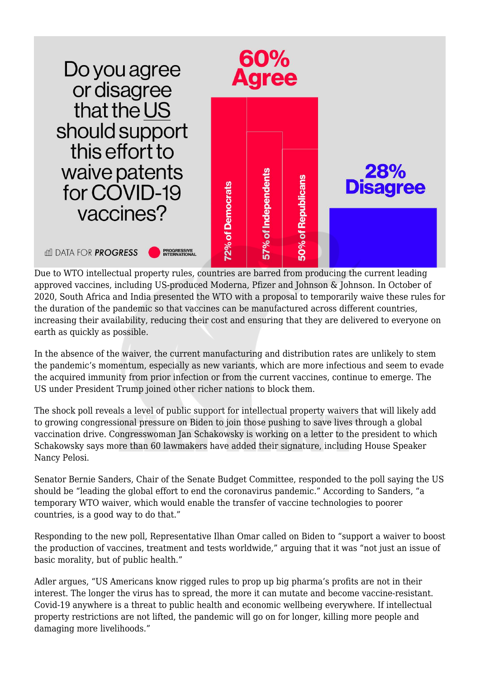

Due to WTO intellectual property rules, countries are barred from producing the current leading approved vaccines, including US-produced Moderna, Pfizer and Johnson & Johnson. In October of 2020, South Africa and India presented the WTO with a proposal to temporarily waive these rules for the duration of the pandemic so that vaccines can be manufactured across different countries, increasing their availability, reducing their cost and ensuring that they are delivered to everyone on earth as quickly as possible.

In the absence of the waiver, the current manufacturing and distribution rates are unlikely to stem the pandemic's momentum, especially as new variants, which are more infectious and seem to evade the acquired immunity from prior infection or from the current vaccines, continue to emerge. The US under President Trump joined other richer nations to block them.

The shock poll reveals a level of public support for intellectual property waivers that will likely add to growing congressional pressure on Biden to join those pushing to save lives through a global vaccination drive. Congresswoman Jan Schakowsky is working on a letter to the president to which Schakowsky says more than 60 lawmakers have added their signature, including House Speaker Nancy Pelosi.

Senator Bernie Sanders, Chair of the Senate Budget Committee, responded to the poll saying the US should be "leading the global effort to end the coronavirus pandemic." According to Sanders, "a temporary WTO waiver, which would enable the transfer of vaccine technologies to poorer countries, is a good way to do that."

Responding to the new poll, Representative Ilhan Omar called on Biden to "support a waiver to boost the production of vaccines, treatment and tests worldwide," arguing that it was "not just an issue of basic morality, but of public health."

Adler argues, "US Americans know rigged rules to prop up big pharma's profits are not in their interest. The longer the virus has to spread, the more it can mutate and become vaccine-resistant. Covid-19 anywhere is a threat to public health and economic wellbeing everywhere. If intellectual property restrictions are not lifted, the pandemic will go on for longer, killing more people and damaging more livelihoods."